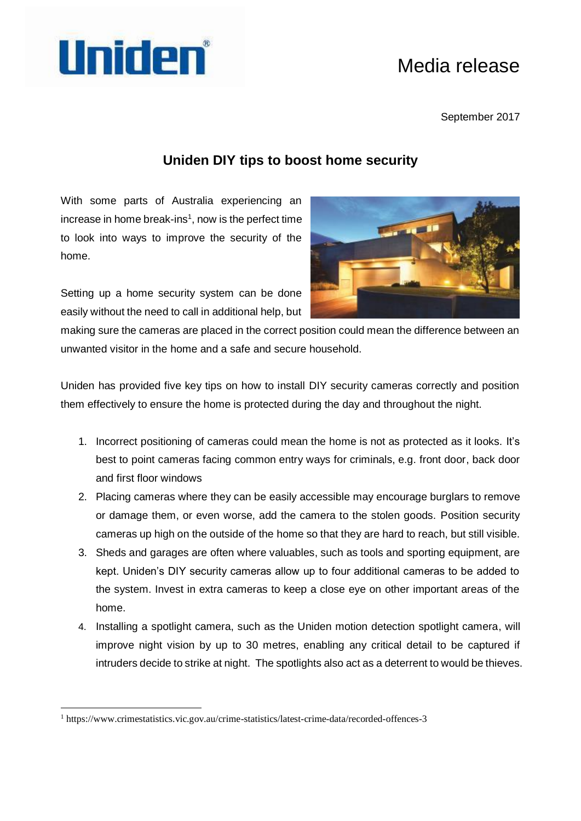## Uniden

## Media release

September 2017

## **Uniden DIY tips to boost home security**

With some parts of Australia experiencing an increase in home break-ins $1$ , now is the perfect time to look into ways to improve the security of the home.



Setting up a home security system can be done easily without the need to call in additional help, but

making sure the cameras are placed in the correct position could mean the difference between an unwanted visitor in the home and a safe and secure household.

Uniden has provided five key tips on how to install DIY security cameras correctly and position them effectively to ensure the home is protected during the day and throughout the night.

- 1. Incorrect positioning of cameras could mean the home is not as protected as it looks. It's best to point cameras facing common entry ways for criminals, e.g. front door, back door and first floor windows
- 2. Placing cameras where they can be easily accessible may encourage burglars to remove or damage them, or even worse, add the camera to the stolen goods. Position security cameras up high on the outside of the home so that they are hard to reach, but still visible.
- 3. Sheds and garages are often where valuables, such as tools and sporting equipment, are kept. Uniden's DIY security cameras allow up to four additional cameras to be added to the system. Invest in extra cameras to keep a close eye on other important areas of the home.
- 4. Installing a spotlight camera, such as the Uniden motion detection spotlight camera, will improve night vision by up to 30 metres, enabling any critical detail to be captured if intruders decide to strike at night. The spotlights also act as a deterrent to would be thieves.

1

<sup>1</sup> https://www.crimestatistics.vic.gov.au/crime-statistics/latest-crime-data/recorded-offences-3